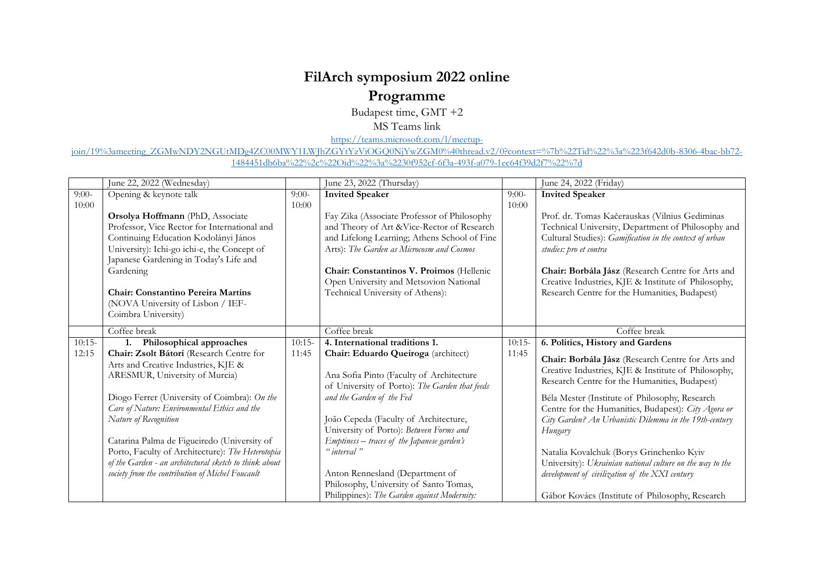## **FilArch symposium 2022 online Programme**

Budapest time, GMT +2

MS Teams link

[https://teams.microsoft.com/l/meetup-](https://teams.microsoft.com/l/meetup-join/19%3ameeting_ZGMwNDY2NGUtMDg4ZC00MWY1LWJhZGYtYzViOGQ0NjYwZGM0%40thread.v2/0?context=%7b%22Tid%22%3a%223f642d0b-8306-4bac-bb72-1484451db6ba%22%2c%22Oid%22%3a%2230f952cf-6f3a-493f-a079-1ec64f39d2f7%22%7d)

join/19%3ameeting\_ZGMwNDY2NGUtMDg4ZC00MWY1LWJhZGYtYzViOGO0NjYwZGM0%40thread.v2/0?context=%7b%22Tid%22%3a%223f642d0b-8306-4bac-bb72-[1484451db6ba%22%2c%22Oid%22%3a%2230f952cf-6f3a-493f-a079-1ec64f39d2f7%22%7d](https://teams.microsoft.com/l/meetup-join/19%3ameeting_ZGMwNDY2NGUtMDg4ZC00MWY1LWJhZGYtYzViOGQ0NjYwZGM0%40thread.v2/0?context=%7b%22Tid%22%3a%223f642d0b-8306-4bac-bb72-1484451db6ba%22%2c%22Oid%22%3a%2230f952cf-6f3a-493f-a079-1ec64f39d2f7%22%7d)

|          | June 22, 2022 (Wednesday)                                                                                                                                                                                                                                                                                                               |          | June 23, 2022 (Thursday)                                                                                                                                                                                                                                                                                          |         | June 24, 2022 (Friday)                                                                                                                                                                                                                                                                                                                                 |
|----------|-----------------------------------------------------------------------------------------------------------------------------------------------------------------------------------------------------------------------------------------------------------------------------------------------------------------------------------------|----------|-------------------------------------------------------------------------------------------------------------------------------------------------------------------------------------------------------------------------------------------------------------------------------------------------------------------|---------|--------------------------------------------------------------------------------------------------------------------------------------------------------------------------------------------------------------------------------------------------------------------------------------------------------------------------------------------------------|
| $9:00-$  | Opening & keynote talk                                                                                                                                                                                                                                                                                                                  | $9:00-$  | <b>Invited Speaker</b>                                                                                                                                                                                                                                                                                            | $9:00-$ | <b>Invited Speaker</b>                                                                                                                                                                                                                                                                                                                                 |
| 10:00    | Orsolya Hoffmann (PhD, Associate<br>Professor, Vice Rector for International and<br>Continuing Education Kodolányi János<br>University): Ichi-go ichi-e, the Concept of<br>Japanese Gardening in Today's Life and<br>Gardening<br><b>Chair: Constantino Pereira Martins</b><br>(NOVA University of Lisbon / IEF-<br>Coimbra University) | 10:00    | Fay Zika (Associate Professor of Philosophy<br>and Theory of Art & Vice-Rector of Research<br>and Lifelong Learning; Athens School of Fine<br>Arts): The Garden as Microcosm and Cosmos<br>Chair: Constantinos V. Proimos (Hellenic<br>Open University and Metsovion National<br>Technical University of Athens): | 10:00   | Prof. dr. Tomas Kačerauskas (Vilnius Gediminas<br>Technical University, Department of Philosophy and<br>Cultural Studies): Gamification in the context of urban<br>studies: pro et contra<br>Chair: Borbála Jász (Research Centre for Arts and<br>Creative Industries, KJE & Institute of Philosophy,<br>Research Centre for the Humanities, Budapest) |
|          | Coffee break                                                                                                                                                                                                                                                                                                                            |          | Coffee break                                                                                                                                                                                                                                                                                                      |         | Coffee break                                                                                                                                                                                                                                                                                                                                           |
| $10:15-$ | 1. Philosophical approaches                                                                                                                                                                                                                                                                                                             | $10:15-$ | 4. International traditions 1.                                                                                                                                                                                                                                                                                    | 10:15   | 6. Politics, History and Gardens                                                                                                                                                                                                                                                                                                                       |
| 12:15    | Chair: Zsolt Bátori (Research Centre for<br>Arts and Creative Industries, KJE &<br>ARESMUR, University of Murcia)<br>Diogo Ferrer (University of Coimbra): On the<br>Care of Nature: Environmental Ethics and the                                                                                                                       | 11:45    | Chair: Eduardo Queiroga (architect)<br>Ana Sofia Pinto (Faculty of Architecture<br>of University of Porto): The Garden that feeds<br>and the Garden of the Fed                                                                                                                                                    | 11:45   | Chair: Borbála Jász (Research Centre for Arts and<br>Creative Industries, KJE & Institute of Philosophy,<br>Research Centre for the Humanities, Budapest)<br>Béla Mester (Institute of Philosophy, Research<br>Centre for the Humanities, Budapest): City Agora or                                                                                     |
|          | Nature of Recognition<br>Catarina Palma de Figueiredo (University of<br>Porto, Faculty of Architecture): The Heterotopia<br>of the Garden - an architectural sketch to think about<br>society from the contribution of Michel Foucault                                                                                                  |          | João Cepeda (Faculty of Architecture,<br>University of Porto): Between Forms and<br>Emptiness – traces of the Japanese garden's<br>" interval "<br>Anton Rennesland (Department of<br>Philosophy, University of Santo Tomas,<br>Philippines): The Garden against Modernity:                                       |         | City Garden? An Urbanistic Dilemma in the 19th-century<br>Hungary<br>Natalia Kovalchuk (Borys Grinchenko Kyiv<br>University): Ukrainian national culture on the way to the<br>development of civilization of the XXI century<br>Gábor Kovács (Institute of Philosophy, Research                                                                        |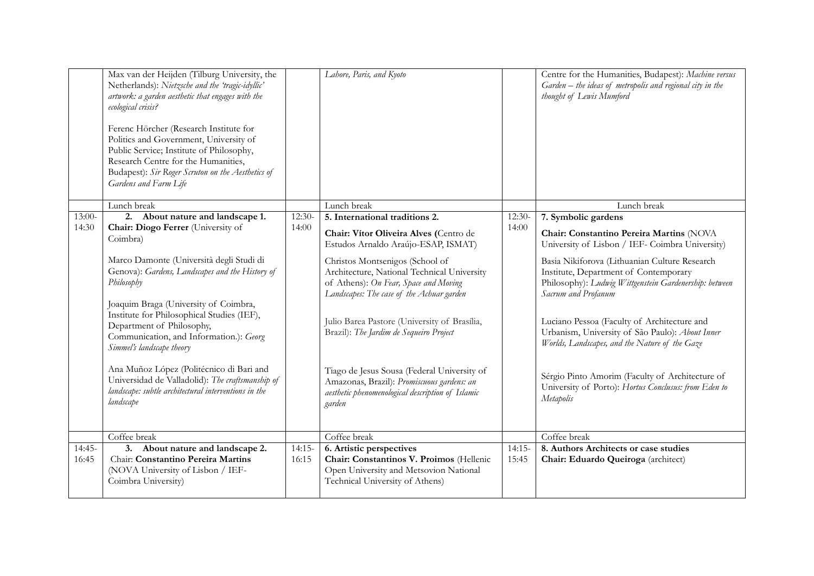|                   | Max van der Heijden (Tilburg University, the<br>Netherlands): Nietzsche and the 'tragic-idyllic'<br>artwork: a garden aesthetic that engages with the<br>ecological crisis?<br>Ferenc Hörcher (Research Institute for<br>Politics and Government, University of<br>Public Service; Institute of Philosophy,<br>Research Centre for the Humanities,<br>Budapest): Sir Roger Scruton on the Aesthetics of<br>Gardens and Farm Life                                                                                                                                 |                   | Lahore, Paris, and Kyoto                                                                                                                                                                                                                                                                                                                                                                                                                                                                                                                       |                   | Centre for the Humanities, Budapest): Machine versus<br>$Garden - the ideas of metropolis and regional city in the$<br>thought of Lewis Mumford                                                                                                                                                                                                                                                                                                                                                                                                                           |
|-------------------|------------------------------------------------------------------------------------------------------------------------------------------------------------------------------------------------------------------------------------------------------------------------------------------------------------------------------------------------------------------------------------------------------------------------------------------------------------------------------------------------------------------------------------------------------------------|-------------------|------------------------------------------------------------------------------------------------------------------------------------------------------------------------------------------------------------------------------------------------------------------------------------------------------------------------------------------------------------------------------------------------------------------------------------------------------------------------------------------------------------------------------------------------|-------------------|---------------------------------------------------------------------------------------------------------------------------------------------------------------------------------------------------------------------------------------------------------------------------------------------------------------------------------------------------------------------------------------------------------------------------------------------------------------------------------------------------------------------------------------------------------------------------|
|                   | Lunch break                                                                                                                                                                                                                                                                                                                                                                                                                                                                                                                                                      |                   | Lunch break                                                                                                                                                                                                                                                                                                                                                                                                                                                                                                                                    |                   | Lunch break                                                                                                                                                                                                                                                                                                                                                                                                                                                                                                                                                               |
| $13:00-$<br>14:30 | 2. About nature and landscape 1.<br>Chair: Diogo Ferrer (University of<br>Coimbra)<br>Marco Damonte (Università degli Studi di<br>Genova): Gardens, Landscapes and the History of<br>Philosophy<br>Joaquim Braga (University of Coimbra,<br>Institute for Philosophical Studies (IEF),<br>Department of Philosophy,<br>Communication, and Information.): Georg<br>Simmel's landscape theory<br>Ana Muñoz López (Politécnico di Bari and<br>Universidad de Valladolid): The craftsmanship of<br>landscape: subtle architectural interventions in the<br>landscape | $12:30-$<br>14:00 | 5. International traditions 2.<br>Chair: Vítor Oliveira Alves (Centro de<br>Estudos Arnaldo Araújo-ESAP, ISMAT)<br>Christos Montsenigos (School of<br>Architecture, National Technical University<br>of Athens): On Fear, Space and Moving<br>Landscapes: The case of the Achuar garden<br>Julio Barea Pastore (University of Brasília,<br>Brazil): The Jardim de Sequeiro Project<br>Tiago de Jesus Sousa (Federal University of<br>Amazonas, Brazil): Promiscuous gardens: an<br>aesthetic phenomenological description of Islamic<br>garden | $12:30-$<br>14:00 | 7. Symbolic gardens<br>Chair: Constantino Pereira Martins (NOVA<br>University of Lisbon / IEF- Coimbra University)<br>Basia Nikiforova (Lithuanian Culture Research<br>Institute, Department of Contemporary<br>Philosophy): Ludwig Wittgenstein Gardenership: between<br>Sacrum and Profanum<br>Luciano Pessoa (Faculty of Architecture and<br>Urbanism, University of São Paulo): About Inner<br>Worlds, Landscapes, and the Nature of the Gaze<br>Sérgio Pinto Amorim (Faculty of Architecture of<br>University of Porto): Hortus Conclusus: from Eden to<br>Metapolis |
|                   | Coffee break                                                                                                                                                                                                                                                                                                                                                                                                                                                                                                                                                     |                   | Coffee break                                                                                                                                                                                                                                                                                                                                                                                                                                                                                                                                   |                   | Coffee break                                                                                                                                                                                                                                                                                                                                                                                                                                                                                                                                                              |
| $14:45-$<br>16:45 | 3. About nature and landscape 2.<br>Chair: Constantino Pereira Martins<br>(NOVA University of Lisbon / IEF-<br>Coimbra University)                                                                                                                                                                                                                                                                                                                                                                                                                               | $14:15-$<br>16:15 | 6. Artistic perspectives<br>Chair: Constantinos V. Proimos (Hellenic<br>Open University and Metsovion National<br>Technical University of Athens)                                                                                                                                                                                                                                                                                                                                                                                              | $14:15-$<br>15:45 | 8. Authors Architects or case studies<br>Chair: Eduardo Queiroga (architect)                                                                                                                                                                                                                                                                                                                                                                                                                                                                                              |